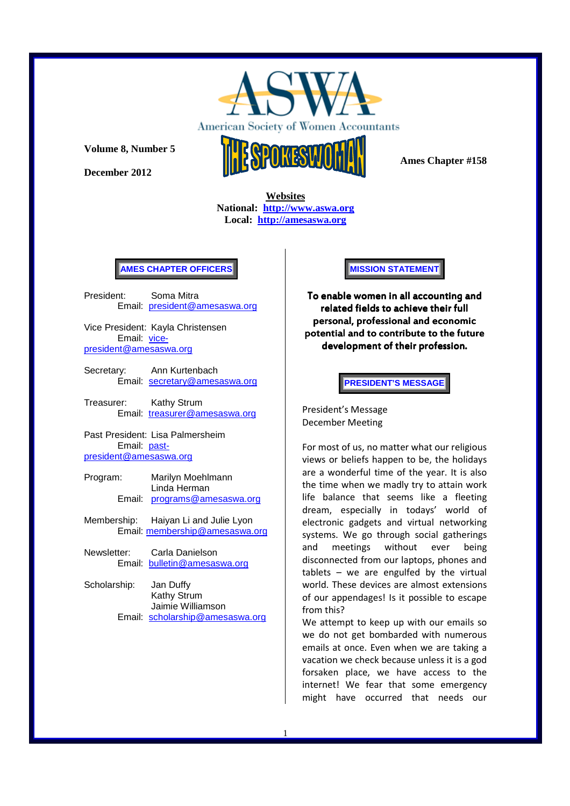

American Society of Women Acco ntants

**Volume 8, Number 5** 

**December 2012** 



 **Ames Chapter #158** 

**Websites National: http://www.aswa.org Local: http://amesaswa.org**

#### **AMES CHAPTER OFFICERS**

President: Soma Mitra Email: president@amesaswa.org

Vice President: Kayla Christensen Email: vicepresident@amesaswa.org

- Secretary: Ann Kurtenbach Email: secretary@amesaswa.org
- Treasurer: Kathy Strum Email: treasurer@amesaswa.org

Past President: Lisa Palmersheim Email: pastpresident@amesaswa.org

- Program: Marilyn Moehlmann Linda Herman Email: programs@amesaswa.org
- Membership: Haiyan Li and Julie Lyon Email: membership@amesaswa.org
- Newsletter: Carla Danielson Email: bulletin@amesaswa.org
- Scholarship: Jan Duffy Kathy Strum Jaimie Williamson Email: scholarship@amesaswa.org

**MISSION STATEMENT** 

To enable women in all accounting and related fields to achieve their full personal, professional and economic potential and to contribute to the future development of their profession.

# **PRESIDENT'S MESSAGE**

President's Message December Meeting

For most of us, no matter what our religious views or beliefs happen to be, the holidays are a wonderful time of the year. It is also the time when we madly try to attain work life balance that seems like a fleeting dream, especially in todays' world of electronic gadgets and virtual networking systems. We go through social gatherings and meetings without ever being disconnected from our laptops, phones and tablets – we are engulfed by the virtual world. These devices are almost extensions of our appendages! Is it possible to escape from this?

We attempt to keep up with our emails so we do not get bombarded with numerous emails at once. Even when we are taking a vacation we check because unless it is a god forsaken place, we have access to the internet! We fear that some emergency might have occurred that needs our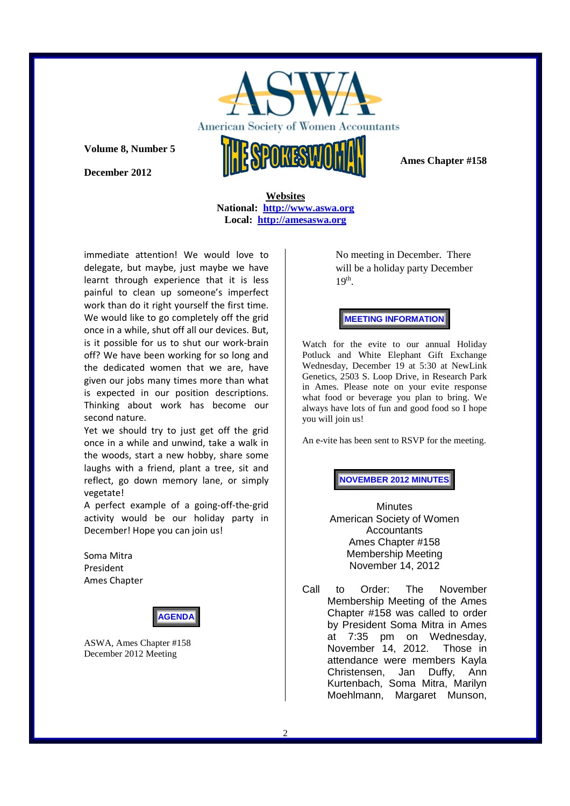

**Volume 8, Number 5** 

**December 2012** 

 **Ames Chapter #158** 

**Websites National: http://www.aswa.org Local: http://amesaswa.org**

immediate attention! We would love to delegate, but maybe, just maybe we have learnt through experience that it is less painful to clean up someone's imperfect work than do it right yourself the first time. We would like to go completely off the grid once in a while, shut off all our devices. But, is it possible for us to shut our work-brain off? We have been working for so long and the dedicated women that we are, have given our jobs many times more than what is expected in our position descriptions. Thinking about work has become our second nature.

Yet we should try to just get off the grid once in a while and unwind, take a walk in the woods, start a new hobby, share some laughs with a friend, plant a tree, sit and reflect, go down memory lane, or simply vegetate!

A perfect example of a going-off-the-grid activity would be our holiday party in December! Hope you can join us!

Soma Mitra President Ames Chapter



ASWA, Ames Chapter #158 December 2012 Meeting

No meeting in December. There will be a holiday party December  $19<sup>th</sup>$ .

**MEETING INFORMATION** 

Watch for the evite to our annual Holiday Potluck and White Elephant Gift Exchange Wednesday, December 19 at 5:30 at NewLink Genetics, 2503 S. Loop Drive, in Research Park in Ames. Please note on your evite response what food or beverage you plan to bring. We always have lots of fun and good food so I hope you will join us!

An e-vite has been sent to RSVP for the meeting.

**NOVEMBER 2012 MINUTES**

**Minutes** American Society of Women **Accountants** Ames Chapter #158 Membership Meeting November 14, 2012

Call to Order: The November Membership Meeting of the Ames Chapter #158 was called to order by President Soma Mitra in Ames at 7:35 pm on Wednesday, November 14, 2012. Those in attendance were members Kayla Christensen, Jan Duffy, Ann Kurtenbach, Soma Mitra, Marilyn Moehlmann, Margaret Munson,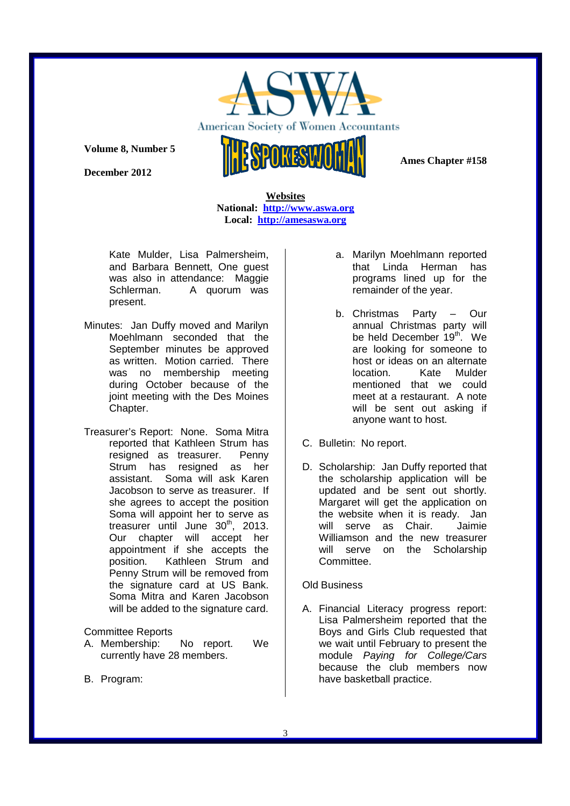

American Society of Women Acco ntants

**Volume 8, Number 5** 

**December 2012** 

 **Ames Chapter #158** 

**Websites National: http://www.aswa.org Local: http://amesaswa.org**

Kate Mulder, Lisa Palmersheim, and Barbara Bennett, One guest was also in attendance: Maggie Schlerman. A quorum was present.

- Minutes: Jan Duffy moved and Marilyn Moehlmann seconded that the September minutes be approved as written. Motion carried. There was no membership meeting during October because of the joint meeting with the Des Moines Chapter.
- Treasurer's Report: None. Soma Mitra reported that Kathleen Strum has resigned as treasurer. Penny Strum has resigned as her assistant. Soma will ask Karen Jacobson to serve as treasurer. If she agrees to accept the position Soma will appoint her to serve as treasurer until June  $30<sup>th</sup>$ , 2013. Our chapter will accept her appointment if she accepts the position. Kathleen Strum and Penny Strum will be removed from the signature card at US Bank. Soma Mitra and Karen Jacobson will be added to the signature card.

### Committee Reports

- A. Membership: No report. We currently have 28 members.
- B. Program:
- a. Marilyn Moehlmann reported that Linda Herman has programs lined up for the remainder of the year.
- b. Christmas Party Our annual Christmas party will be held December 19<sup>th</sup>. We are looking for someone to host or ideas on an alternate location. Kate Mulder mentioned that we could meet at a restaurant. A note will be sent out asking if anyone want to host.
- C. Bulletin: No report.
- D. Scholarship: Jan Duffy reported that the scholarship application will be updated and be sent out shortly. Margaret will get the application on the website when it is ready. Jan will serve as Chair. Jaimie Williamson and the new treasurer will serve on the Scholarship Committee.

### Old Business

A. Financial Literacy progress report: Lisa Palmersheim reported that the Boys and Girls Club requested that we wait until February to present the module Paying for College/Cars because the club members now have basketball practice.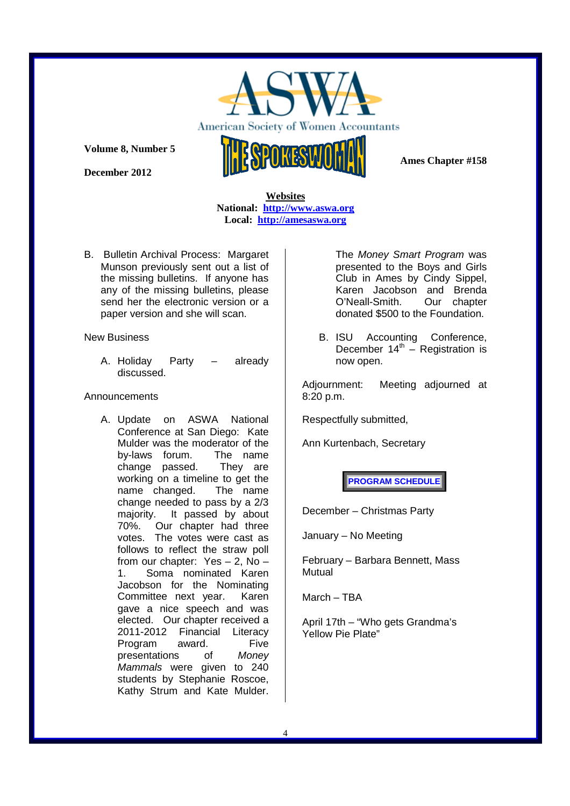

American Society of Women Acco ntants

**Volume 8, Number 5** 

**December 2012** 

 **Ames Chapter #158** 

**Websites National: http://www.aswa.org Local: http://amesaswa.org**

B. Bulletin Archival Process: Margaret Munson previously sent out a list of the missing bulletins. If anyone has any of the missing bulletins, please send her the electronic version or a paper version and she will scan.

New Business

A. Holiday Party – already discussed.

# Announcements

A. Update on ASWA National Conference at San Diego: Kate Mulder was the moderator of the by-laws forum. The name change passed. They are working on a timeline to get the name changed. The name change needed to pass by a 2/3 majority. It passed by about 70%. Our chapter had three votes. The votes were cast as follows to reflect the straw poll from our chapter: Yes – 2, No – 1. Soma nominated Karen Jacobson for the Nominating Committee next year. Karen gave a nice speech and was elected. Our chapter received a 2011-2012 Financial Literacy Program award. Five presentations of Money Mammals were given to 240 students by Stephanie Roscoe, Kathy Strum and Kate Mulder.

The Money Smart Program was presented to the Boys and Girls Club in Ames by Cindy Sippel, Karen Jacobson and Brenda O'Neall-Smith. Our chapter donated \$500 to the Foundation.

B. ISU Accounting Conference, December  $14<sup>th</sup>$  – Registration is now open.

Adjournment: Meeting adjourned at 8:20 p.m.

Respectfully submitted,

Ann Kurtenbach, Secretary

**PROGRAM SCHEDULE** 

December – Christmas Party

January – No Meeting

February – Barbara Bennett, Mass Mutual

March – TBA

April 17th – "Who gets Grandma's Yellow Pie Plate"